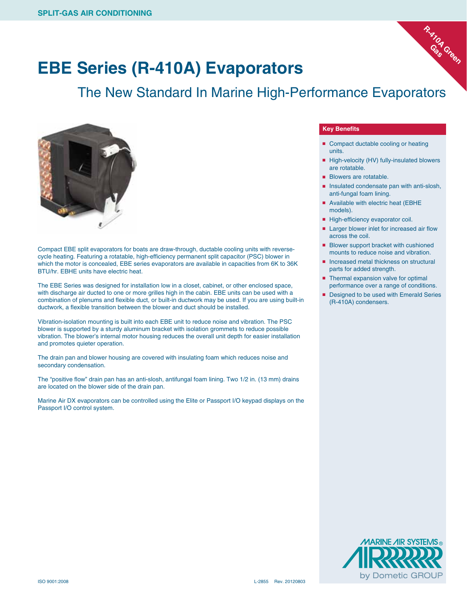

The New Standard In Marine High-Performance Evaporators



Compact EBE split evaporators for boats are draw-through, ductable cooling units with reversecycle heating. Featuring a rotatable, high-efficiency permanent split capacitor (PSC) blower in which the motor is concealed, EBE series evaporators are available in capacities from 6K to 36K BTU/hr. EBHE units have electric heat.

The EBE Series was designed for installation low in a closet, cabinet, or other enclosed space, with discharge air ducted to one or more grilles high in the cabin. EBE units can be used with a combination of plenums and flexible duct, or built-in ductwork may be used. If you are using built-in ductwork, a flexible transition between the blower and duct should be installed.

Vibration-isolation mounting is built into each EBE unit to reduce noise and vibration. The PSC blower is supported by a sturdy aluminum bracket with isolation grommets to reduce possible vibration. The blower's internal motor housing reduces the overall unit depth for easier installation and promotes quieter operation.

The drain pan and blower housing are covered with insulating foam which reduces noise and secondary condensation.

The "positive flow" drain pan has an anti-slosh, antifungal foam lining. Two 1/2 in. (13 mm) drains are located on the blower side of the drain pan.

Marine Air DX evaporators can be controlled using the Elite or Passport I/O keypad displays on the Passport I/O control system.

## **Key Benefits**

- Compact ductable cooling or heating units.
- High-velocity (HV) fully-insulated blowers are rotatable.

**R-410A Green Gas**

- Blowers are rotatable.
- Insulated condensate pan with anti-slosh, anti-fungal foam lining.
- Available with electric heat (EBHE models).
- High-efficiency evaporator coil.
- Larger blower inlet for increased air flow across the coil.
- Blower support bracket with cushioned mounts to reduce noise and vibration.
- Increased metal thickness on structural parts for added strength.
- Thermal expansion valve for optimal performance over a range of conditions.
- Designed to be used with Emerald Series (R-410A) condensers.